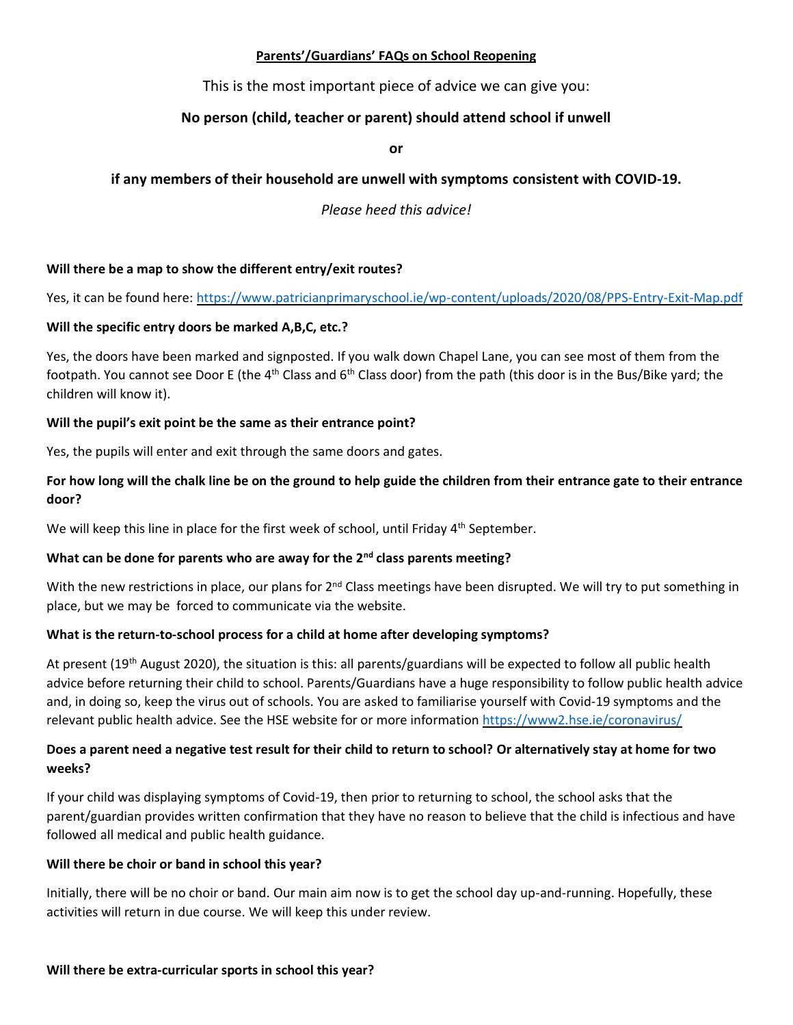### **Parents'/Guardians' FAQs on School Reopening**

This is the most important piece of advice we can give you:

# **No person (child, teacher or parent) should attend school if unwell**

**or** 

## **if any members of their household are unwell with symptoms consistent with COVID-19.**

*Please heed this advice!*

### **Will there be a map to show the different entry/exit routes?**

Yes, it can be found here:<https://www.patricianprimaryschool.ie/wp-content/uploads/2020/08/PPS-Entry-Exit-Map.pdf>

### **Will the specific entry doors be marked A,B,C, etc.?**

Yes, the doors have been marked and signposted. If you walk down Chapel Lane, you can see most of them from the footpath. You cannot see Door E (the 4<sup>th</sup> Class and 6<sup>th</sup> Class door) from the path (this door is in the Bus/Bike yard; the children will know it).

#### **Will the pupil's exit point be the same as their entrance point?**

Yes, the pupils will enter and exit through the same doors and gates.

## **For how long will the chalk line be on the ground to help guide the children from their entrance gate to their entrance door?**

We will keep this line in place for the first week of school, until Friday 4<sup>th</sup> September.

### **What can be done for parents who are away for the 2nd class parents meeting?**

With the new restrictions in place, our plans for  $2^{nd}$  Class meetings have been disrupted. We will try to put something in place, but we may be forced to communicate via the website.

### **What is the return-to-school process for a child at home after developing symptoms?**

At present (19<sup>th</sup> August 2020), the situation is this: all parents/guardians will be expected to follow all public health advice before returning their child to school. Parents/Guardians have a huge responsibility to follow public health advice and, in doing so, keep the virus out of schools. You are asked to familiarise yourself with Covid-19 symptoms and the relevant public health advice. See the HSE website for or more information<https://www2.hse.ie/coronavirus/>

## **Does a parent need a negative test result for their child to return to school? Or alternatively stay at home for two weeks?**

If your child was displaying symptoms of Covid-19, then prior to returning to school, the school asks that the parent/guardian provides written confirmation that they have no reason to believe that the child is infectious and have followed all medical and public health guidance.

#### **Will there be choir or band in school this year?**

Initially, there will be no choir or band. Our main aim now is to get the school day up-and-running. Hopefully, these activities will return in due course. We will keep this under review.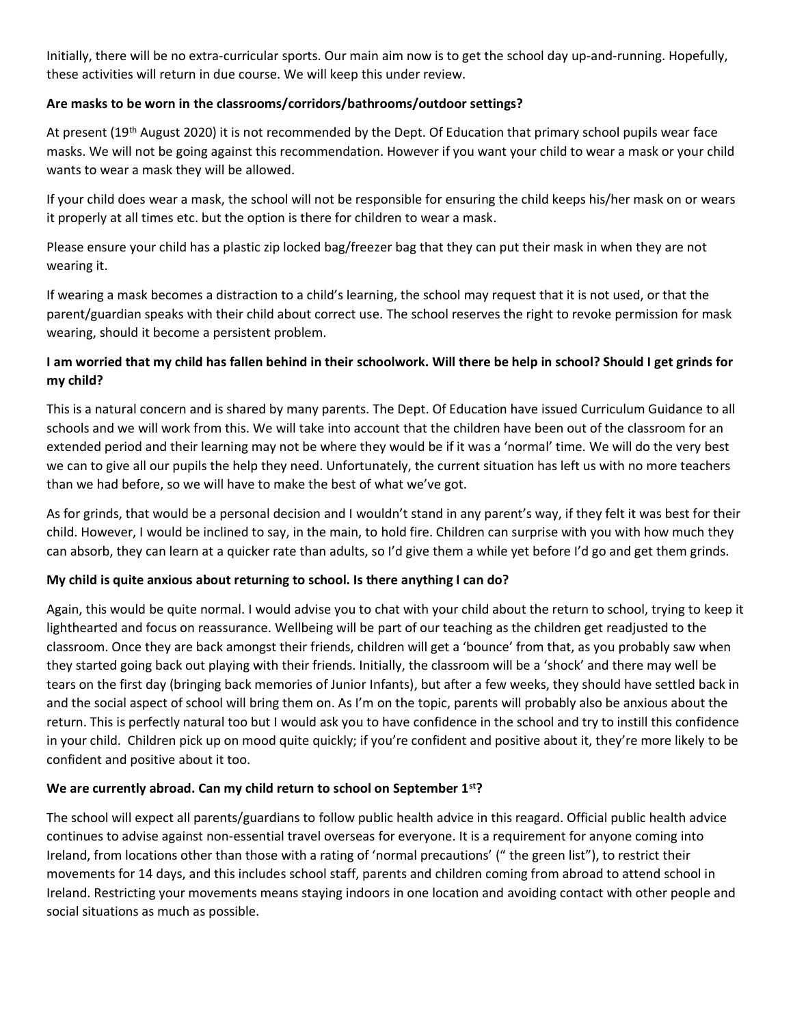Initially, there will be no extra-curricular sports. Our main aim now is to get the school day up-and-running. Hopefully, these activities will return in due course. We will keep this under review.

## **Are masks to be worn in the classrooms/corridors/bathrooms/outdoor settings?**

At present (19<sup>th</sup> August 2020) it is not recommended by the Dept. Of Education that primary school pupils wear face masks. We will not be going against this recommendation. However if you want your child to wear a mask or your child wants to wear a mask they will be allowed.

If your child does wear a mask, the school will not be responsible for ensuring the child keeps his/her mask on or wears it properly at all times etc. but the option is there for children to wear a mask.

Please ensure your child has a plastic zip locked bag/freezer bag that they can put their mask in when they are not wearing it.

If wearing a mask becomes a distraction to a child's learning, the school may request that it is not used, or that the parent/guardian speaks with their child about correct use. The school reserves the right to revoke permission for mask wearing, should it become a persistent problem.

# **I am worried that my child has fallen behind in their schoolwork. Will there be help in school? Should I get grinds for my child?**

This is a natural concern and is shared by many parents. The Dept. Of Education have issued Curriculum Guidance to all schools and we will work from this. We will take into account that the children have been out of the classroom for an extended period and their learning may not be where they would be if it was a 'normal' time. We will do the very best we can to give all our pupils the help they need. Unfortunately, the current situation has left us with no more teachers than we had before, so we will have to make the best of what we've got.

As for grinds, that would be a personal decision and I wouldn't stand in any parent's way, if they felt it was best for their child. However, I would be inclined to say, in the main, to hold fire. Children can surprise with you with how much they can absorb, they can learn at a quicker rate than adults, so I'd give them a while yet before I'd go and get them grinds.

## **My child is quite anxious about returning to school. Is there anything I can do?**

Again, this would be quite normal. I would advise you to chat with your child about the return to school, trying to keep it lighthearted and focus on reassurance. Wellbeing will be part of our teaching as the children get readjusted to the classroom. Once they are back amongst their friends, children will get a 'bounce' from that, as you probably saw when they started going back out playing with their friends. Initially, the classroom will be a 'shock' and there may well be tears on the first day (bringing back memories of Junior Infants), but after a few weeks, they should have settled back in and the social aspect of school will bring them on. As I'm on the topic, parents will probably also be anxious about the return. This is perfectly natural too but I would ask you to have confidence in the school and try to instill this confidence in your child. Children pick up on mood quite quickly; if you're confident and positive about it, they're more likely to be confident and positive about it too.

## **We are currently abroad. Can my child return to school on September 1st?**

The school will expect all parents/guardians to follow public health advice in this reagard. Official public health advice continues to advise against non-essential travel overseas for everyone. It is a requirement for anyone coming into Ireland, from locations other than those with a rating of 'normal precautions' (" the green list"), to restrict their movements for 14 days, and this includes school staff, parents and children coming from abroad to attend school in Ireland. Restricting your movements means staying indoors in one location and avoiding contact with other people and social situations as much as possible.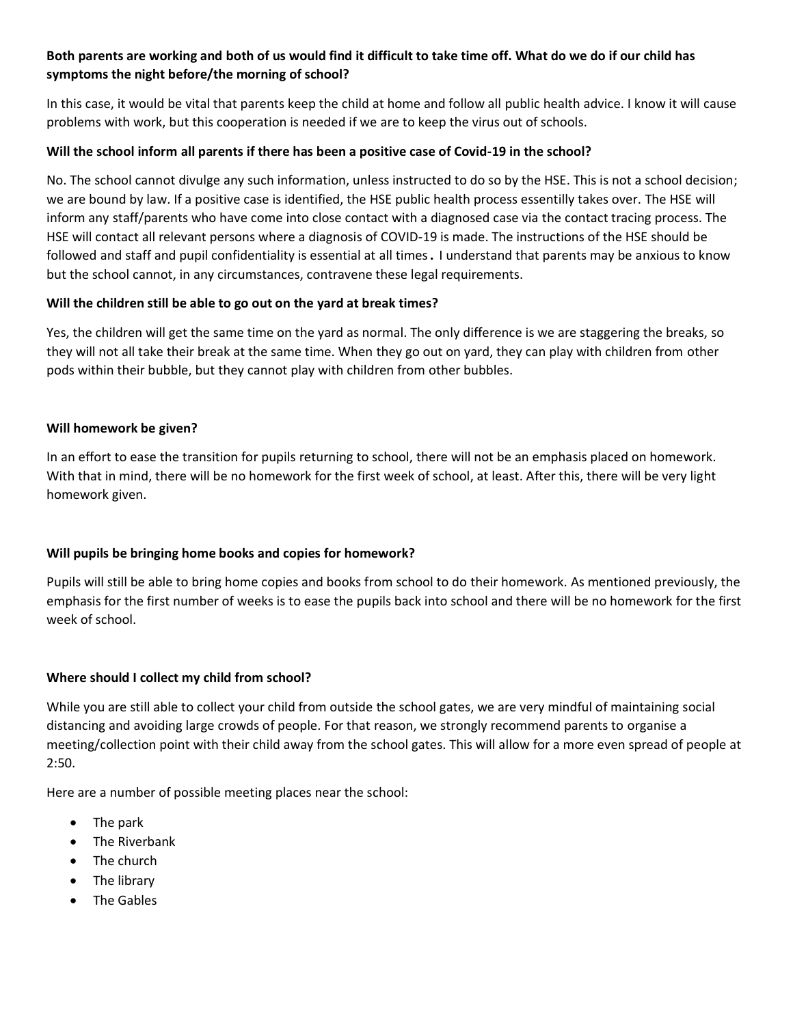## **Both parents are working and both of us would find it difficult to take time off. What do we do if our child has symptoms the night before/the morning of school?**

In this case, it would be vital that parents keep the child at home and follow all public health advice. I know it will cause problems with work, but this cooperation is needed if we are to keep the virus out of schools.

### **Will the school inform all parents if there has been a positive case of Covid-19 in the school?**

No. The school cannot divulge any such information, unless instructed to do so by the HSE. This is not a school decision; we are bound by law. If a positive case is identified, the HSE public health process essentilly takes over. The HSE will inform any staff/parents who have come into close contact with a diagnosed case via the contact tracing process. The HSE will contact all relevant persons where a diagnosis of COVID-19 is made. The instructions of the HSE should be followed and staff and pupil confidentiality is essential at all times. I understand that parents may be anxious to know but the school cannot, in any circumstances, contravene these legal requirements.

### **Will the children still be able to go out on the yard at break times?**

Yes, the children will get the same time on the yard as normal. The only difference is we are staggering the breaks, so they will not all take their break at the same time. When they go out on yard, they can play with children from other pods within their bubble, but they cannot play with children from other bubbles.

### **Will homework be given?**

In an effort to ease the transition for pupils returning to school, there will not be an emphasis placed on homework. With that in mind, there will be no homework for the first week of school, at least. After this, there will be very light homework given.

## **Will pupils be bringing home books and copies for homework?**

Pupils will still be able to bring home copies and books from school to do their homework. As mentioned previously, the emphasis for the first number of weeks is to ease the pupils back into school and there will be no homework for the first week of school.

### **Where should I collect my child from school?**

While you are still able to collect your child from outside the school gates, we are very mindful of maintaining social distancing and avoiding large crowds of people. For that reason, we strongly recommend parents to organise a meeting/collection point with their child away from the school gates. This will allow for a more even spread of people at 2:50.

Here are a number of possible meeting places near the school:

- The park
- The Riverbank
- The church
- The library
- The Gables